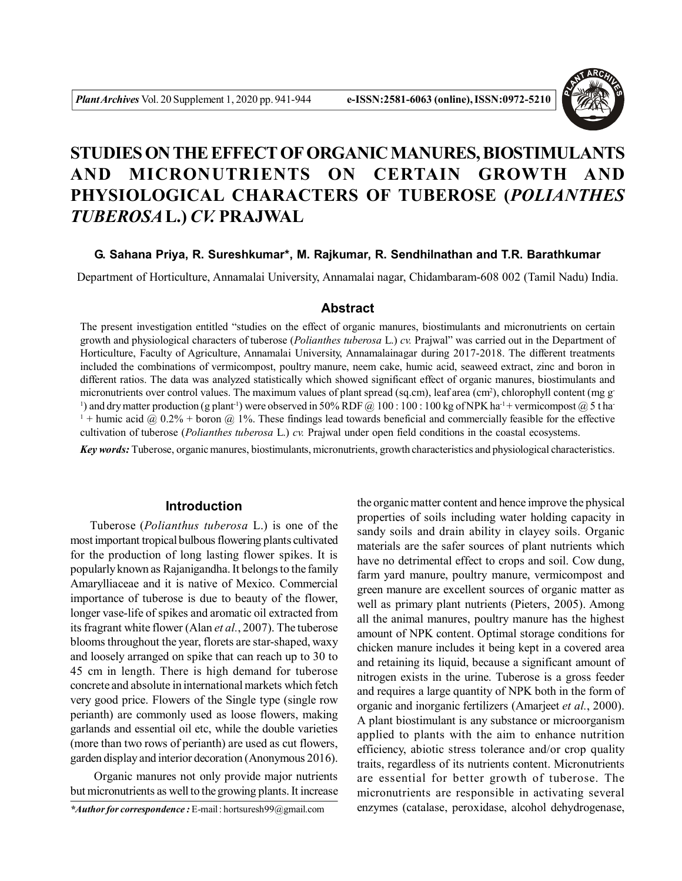

# **STUDIES ON THE EFFECT OF ORGANIC MANURES, BIOSTIMULANTS AND MICRONUTRIENTS ON CERTAIN GROWTH AND PHYSIOLOGICAL CHARACTERS OF TUBEROSE (***POLIANTHES TUBEROSA***L.)** *CV.* **PRAJWAL**

## **G. Sahana Priya, R. Sureshkumar\*, M. Rajkumar, R. Sendhilnathan and T.R. Barathkumar**

Department of Horticulture, Annamalai University, Annamalai nagar, Chidambaram-608 002 (Tamil Nadu) India.

# **Abstract**

The present investigation entitled "studies on the effect of organic manures, biostimulants and micronutrients on certain growth and physiological characters of tuberose (*Polianthes tuberosa* L.) *cv.* Prajwal" was carried out in the Department of Horticulture, Faculty of Agriculture, Annamalai University, Annamalainagar during 2017-2018. The different treatments included the combinations of vermicompost, poultry manure, neem cake, humic acid, seaweed extract, zinc and boron in different ratios. The data was analyzed statistically which showed significant effect of organic manures, biostimulants and micronutrients over control values. The maximum values of plant spread (sq.cm), leaf area (cm<sup>2</sup>), chlorophyll content (mg g-<sup>1</sup>) and dry matter production (g plant<sup>-1</sup>) were observed in 50% RDF @ 100 : 100 : 100 kg of NPK ha<sup>-1</sup> + vermicompost @ 5 t ha<sup>-</sup> <sup>1</sup> + humic acid @ 0.2% + boron @ 1%. These findings lead towards beneficial and commercially feasible for the effective cultivation of tuberose (*Polianthes tuberosa* L.) *cv.* Prajwal under open field conditions in the coastal ecosystems.

*Key words:* Tuberose, organic manures, biostimulants, micronutrients, growth characteristics and physiological characteristics.

## **Introduction**

Tuberose (*Polianthus tuberosa* L.) is one of the most important tropical bulbous flowering plants cultivated for the production of long lasting flower spikes. It is popularly known as Rajanigandha. It belongs to the family Amarylliaceae and it is native of Mexico. Commercial importance of tuberose is due to beauty of the flower, longer vase-life of spikes and aromatic oil extracted from its fragrant white flower (Alan *et al.*, 2007). The tuberose blooms throughout the year, florets are star-shaped, waxy and loosely arranged on spike that can reach up to 30 to 45 cm in length. There is high demand for tuberose concrete and absolute in international markets which fetch very good price. Flowers of the Single type (single row perianth) are commonly used as loose flowers, making garlands and essential oil etc, while the double varieties (more than two rows of perianth) are used as cut flowers, garden display and interior decoration (Anonymous 2016).

 Organic manures not only provide major nutrients but micronutrients as well to the growing plants. It increase

*\*Author for correspondence :* E-mail : hortsuresh99@gmail.com

the organic matter content and hence improve the physical properties of soils including water holding capacity in sandy soils and drain ability in clayey soils. Organic materials are the safer sources of plant nutrients which have no detrimental effect to crops and soil. Cow dung, farm yard manure, poultry manure, vermicompost and green manure are excellent sources of organic matter as well as primary plant nutrients (Pieters, 2005). Among all the animal manures, poultry manure has the highest amount of NPK content. Optimal storage conditions for chicken manure includes it being kept in a covered area and retaining its liquid, because a significant amount of nitrogen exists in the urine. Tuberose is a gross feeder and requires a large quantity of NPK both in the form of organic and inorganic fertilizers (Amarjeet *et al.*, 2000). A plant biostimulant is any substance or microorganism applied to plants with the aim to enhance nutrition efficiency, abiotic stress tolerance and/or crop quality traits, regardless of its nutrients content. Micronutrients are essential for better growth of tuberose. The micronutrients are responsible in activating several enzymes (catalase, peroxidase, alcohol dehydrogenase,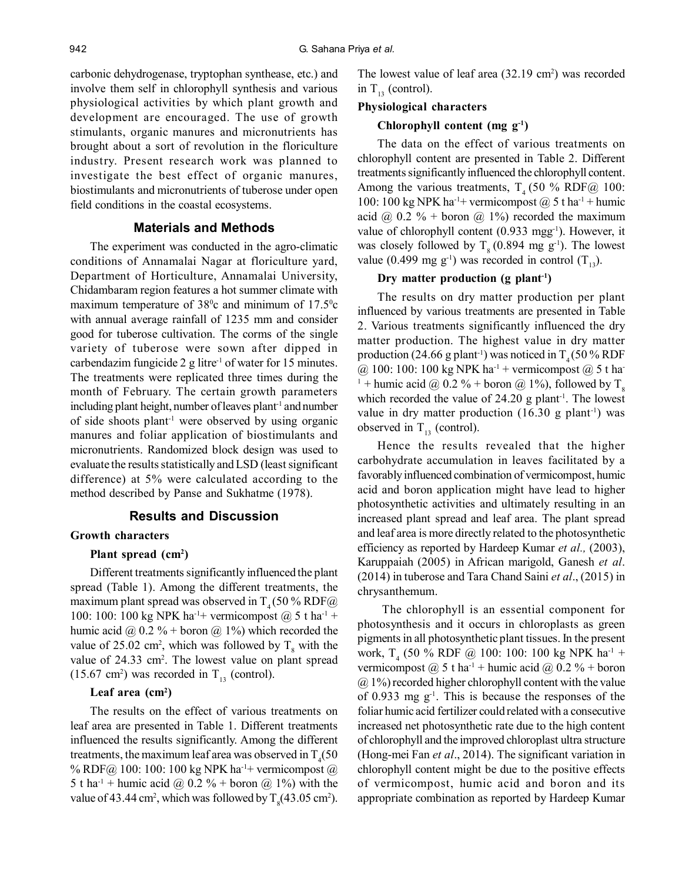carbonic dehydrogenase, tryptophan synthease, etc.) and involve them self in chlorophyll synthesis and various physiological activities by which plant growth and development are encouraged. The use of growth stimulants, organic manures and micronutrients has brought about a sort of revolution in the floriculture industry. Present research work was planned to investigate the best effect of organic manures, biostimulants and micronutrients of tuberose under open field conditions in the coastal ecosystems.

# **Materials and Methods**

The experiment was conducted in the agro-climatic conditions of Annamalai Nagar at floriculture yard, Department of Horticulture, Annamalai University, Chidambaram region features a hot summer climate with maximum temperature of  $38^{\circ}$ c and minimum of  $17.5^{\circ}$ c with annual average rainfall of 1235 mm and consider good for tuberose cultivation. The corms of the single variety of tuberose were sown after dipped in carbendazim fungicide  $2 \text{ g litre}^{-1}$  of water for 15 minutes. The treatments were replicated three times during the month of February. The certain growth parameters including plant height, number of leaves plant<sup>-1</sup> and number of side shoots plant-1 were observed by using organic manures and foliar application of biostimulants and micronutrients. Randomized block design was used to evaluate the results statistically and LSD (least significant difference) at 5% were calculated according to the method described by Panse and Sukhatme (1978).

# **Results and Discussion**

## **Growth characters**

#### **Plant spread (cm<sup>2</sup> )**

Different treatments significantly influenced the plant spread (Table 1). Among the different treatments, the maximum plant spread was observed in  $T<sub>4</sub> (50 % RDF@)$ 100: 100: 100 kg NPK ha<sup>-1+</sup> vermicompost  $@$  5 t ha<sup>-1</sup> + humic acid @  $0.2 \%$  + boron @ 1%) which recorded the value of 25.02 cm<sup>2</sup>, which was followed by  $T_8$  with the value of  $24.33 \text{ cm}^2$ . The lowest value on plant spread  $(15.67 \text{ cm}^2)$  was recorded in T<sub>13</sub> (control).

#### **Leaf area (cm<sup>2</sup> )**

The results on the effect of various treatments on leaf area are presented in Table 1. Different treatments influenced the results significantly. Among the different treatments, the maximum leaf area was observed in  $T_{4}(50$ % RDF@ 100: 100: 100 kg NPK ha<sup>-1+</sup> vermicompost @ 5 t ha<sup>-1</sup> + humic acid @ 0.2 % + boron @ 1%) with the value of 43.44 cm<sup>2</sup>, which was followed by  $T_s(43.05 \text{ cm}^2)$ .

The lowest value of leaf area (32.19 cm<sup>2</sup>) was recorded in  $T_{13}$  (control).

#### **Physiological characters**

## **Chlorophyll content (mg g-1)**

The data on the effect of various treatments on chlorophyll content are presented in Table 2. Different treatments significantly influenced the chlorophyll content. Among the various treatments,  $T_4$  (50 % RDF@ 100: 100: 100 kg NPK ha<sup>-1+</sup> vermicompost  $\omega$  5 t ha<sup>-1</sup> + humic acid @  $0.2 \%$  + boron @ 1%) recorded the maximum value of chlorophyll content (0.933 mgg<sup>-1</sup>). However, it was closely followed by  $T<sub>8</sub> (0.894 \text{ mg g}^{-1})$ . The lowest value (0.499 mg g<sup>-1</sup>) was recorded in control  $(T_{13})$ .

## **Dry matter production (g plant-1)**

The results on dry matter production per plant influenced by various treatments are presented in Table 2. Various treatments significantly influenced the dry matter production. The highest value in dry matter production (24.66 g plant<sup>-1</sup>) was noticed in  $T<sub>4</sub>$  (50 % RDF  $@ 100: 100: 100 \text{ kg } NPK \text{ ha}^{-1} + \text{vermicompost } @ 5 \text{ t } \text{ha}^{-1}$ <sup>1</sup> + humic acid @ 0.2 % + boron @ 1%), followed by  $T<sub>8</sub>$ which recorded the value of  $24.20$  g plant<sup>-1</sup>. The lowest value in dry matter production  $(16.30 \text{ g plant}^{-1})$  was observed in  $T_{13}$  (control).

Hence the results revealed that the higher carbohydrate accumulation in leaves facilitated by a favorably influenced combination of vermicompost, humic acid and boron application might have lead to higher photosynthetic activities and ultimately resulting in an increased plant spread and leaf area. The plant spread and leaf area is more directly related to the photosynthetic efficiency as reported by Hardeep Kumar *et al.,* (2003), Karuppaiah (2005) in African marigold, Ganesh *et al*. (2014) in tuberose and Tara Chand Saini *et al*., (2015) in chrysanthemum.

 The chlorophyll is an essential component for photosynthesis and it occurs in chloroplasts as green pigments in all photosynthetic plant tissues. In the present work, T<sub>4</sub> (50 % RDF @ 100: 100: 100 kg NPK ha<sup>-1</sup> + vermicompost  $(a)$  5 t ha<sup>-1</sup> + humic acid  $(a)$  0.2 % + boron  $(a)$  1%) recorded higher chlorophyll content with the value of 0.933 mg  $g^{-1}$ . This is because the responses of the foliar humic acid fertilizer could related with a consecutive increased net photosynthetic rate due to the high content of chlorophyll and the improved chloroplast ultra structure (Hong-mei Fan *et al*., 2014). The significant variation in chlorophyll content might be due to the positive effects of vermicompost, humic acid and boron and its appropriate combination as reported by Hardeep Kumar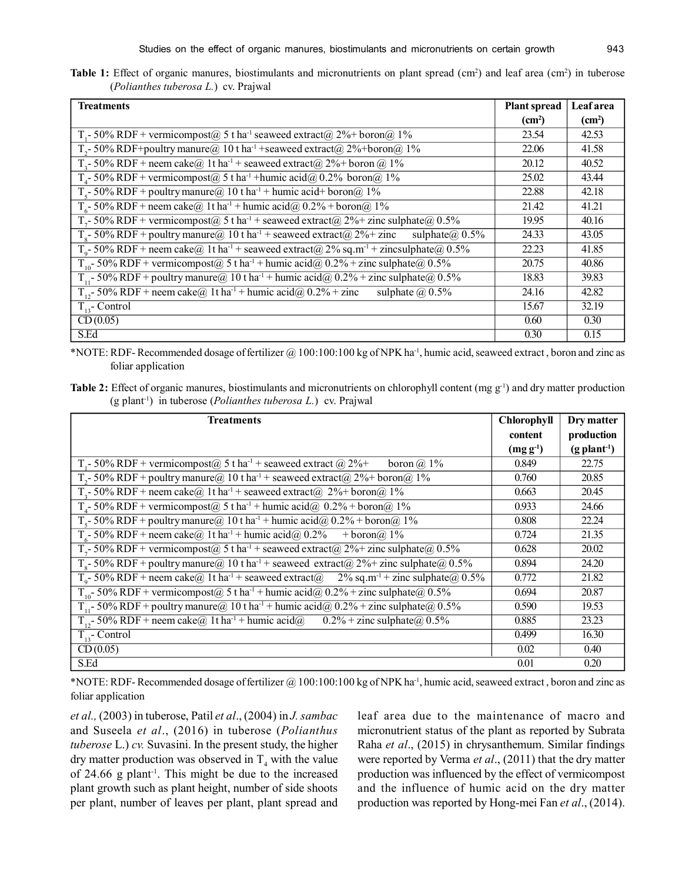|  |                                             |  | <b>Table 1:</b> Effect of organic manures, biostimulants and micronutrients on plant spread $(cm^2)$ and leaf area $(cm^2)$ in tuberose |  |  |  |  |  |
|--|---------------------------------------------|--|-----------------------------------------------------------------------------------------------------------------------------------------|--|--|--|--|--|
|  | <i>(Polianthes tuberosa L.)</i> cv. Prajwal |  |                                                                                                                                         |  |  |  |  |  |

| <b>Treatments</b>                                                                                                       | <b>Plant spread</b> | <b>Leaf</b> area   |  |
|-------------------------------------------------------------------------------------------------------------------------|---------------------|--------------------|--|
|                                                                                                                         | (cm <sup>2</sup> )  | (cm <sup>2</sup> ) |  |
| T <sub>1</sub> -50% RDF + vermicompost@ 5 t ha <sup>-1</sup> seaweed extract@ 2%+ boron@ 1%                             | 23.54               | 42.53              |  |
| $T_{2}$ - 50% RDF+poultry manure@ 10 t ha <sup>-1</sup> +seaweed extract@ 2%+boron@ 1%                                  | 22.06               | 41.58              |  |
| $T_s$ - 50% RDF + neem cake@ 1t ha <sup>-1</sup> + seaweed extract@ 2%+ boron @ 1%                                      | 20.12               | 40.52              |  |
| $Ta$ - 50% RDF + vermicompost $(a)$ 5 t ha <sup>-1</sup> + humic acid $(a)$ 0.2% boron $(a)$ 1%                         | 25.02               | 43.44              |  |
| $T_s$ - 50% RDF + poultry manure@ 10 t ha <sup>-1</sup> + humic acid+ boron@ 1%                                         | 22.88               | 42.18              |  |
| $T_6$ - 50% RDF + neem cake@ 1t ha <sup>-1</sup> + humic acid@ 0.2% + boron@ 1%                                         | 21.42               | 41.21              |  |
| $T_7$ - 50% RDF + vermicompost@ 5 t ha <sup>-1</sup> + seaweed extract@ 2%+ zinc sulphate@ 0.5%                         | 19.95               | 40.16              |  |
| $T_s$ - 50% RDF + poultry manure@ 10 t ha <sup>-1</sup> + seaweed extract@ 2%+ zinc<br>sulphate $\omega$ , 0.5%         | 24.33               | 43.05              |  |
| $T_{\text{g}}$ - 50% RDF + neem cake@ 1t ha <sup>-1</sup> + seaweed extract@ 2% sq.m <sup>-1</sup> + zincsulphate@ 0.5% | 22.23               | 41.85              |  |
| T <sub>10</sub> -50% RDF + vermicompost@ 5 t ha <sup>-1</sup> + humic acid@ $0.2\%$ + zinc sulphate@ $0.5\%$            | 20.75               | 40.86              |  |
| $T_{11}$ - 50% RDF + poultry manure@ 10 t ha <sup>-1</sup> + humic acid@ 0.2% + zinc sulphate@ 0.5%                     | 18.83               | 39.83              |  |
| $T_{12}$ - 50% RDF + neem cake@ 1t ha <sup>-1</sup> + humic acid@ 0.2% + zinc<br>sulphate $(a)$ 0.5%                    | 24.16               | 42.82              |  |
| $T_{13}$ - Control                                                                                                      | 15.67               | 32.19              |  |
| CD(0.05)                                                                                                                | 0.60                | 0.30               |  |
| S.Ed                                                                                                                    | 0.30                | 0.15               |  |

\*NOTE: RDF- Recommended dosage of fertilizer @ 100:100:100 kg of NPK ha-1, humic acid, seaweed extract , boron and zinc as foliar application

**Table 2:** Effect of organic manures, biostimulants and micronutrients on chlorophyll content (mg g<sup>-1</sup>) and dry matter production (g plant-1) in tuberose (*Polianthes tuberosa L.*) cv. Prajwal

| <b>Treatments</b>                                                                                                                                                                                   | <b>Chlorophyll</b> | Dry matter                 |  |
|-----------------------------------------------------------------------------------------------------------------------------------------------------------------------------------------------------|--------------------|----------------------------|--|
|                                                                                                                                                                                                     | content            | production                 |  |
|                                                                                                                                                                                                     | $(mg g^{-1})$      | $(g$ plant <sup>-1</sup> ) |  |
| T <sub>1</sub> -50% RDF + vermicompost@ 5 t ha <sup>-1</sup> + seaweed extract @ 2%+<br>boron $\omega$ 1%                                                                                           | 0.849              | 22.75                      |  |
| T <sub>2</sub> -50% RDF + poultry manure $@$ 10 t ha <sup>-1</sup> + seaweed extract $@$ 2% + boron $@$ 1%                                                                                          | 0.760              | 20.85                      |  |
| $T_3$ - 50% RDF + neem cake@ 1t ha <sup>-1</sup> + seaweed extract@ 2%+ boron@ 1%                                                                                                                   | 0.663              | 20.45                      |  |
| $T_4$ - 50% RDF + vermicompost@ 5 t ha <sup>-1</sup> + humic acid@ 0.2% + boron@ 1%                                                                                                                 | 0.933              | 24.66                      |  |
| T <sub>5</sub> -50% RDF + poultry manure@ 10 t ha <sup>-1</sup> + humic acid@ 0.2% + boron@ 1%                                                                                                      | 0.808              | 22.24                      |  |
| $T_6$ - 50% RDF + neem cake@ 1t ha <sup>-1</sup> + humic acid@ 0.2% + boron@ 1%                                                                                                                     | 0.724              | 21.35                      |  |
| $T_7$ - 50% RDF + vermicompost@ 5 t ha <sup>-1</sup> + seaweed extract@ 2%+ zinc sulphate@ 0.5%                                                                                                     | 0.628              | 20.02                      |  |
| $T_s$ - 50% RDF + poultry manure@ 10 t ha <sup>-1</sup> + seaweed extract@ 2%+ zinc sulphate@ 0.5%                                                                                                  | 0.894              | 24.20                      |  |
| $T_0$ - 50% RDF + neem cake@ 1t ha <sup>-1</sup> + seaweed extract@ 2% sq.m <sup>-1</sup> + zinc sulphate@ 0.5%                                                                                     | 0.772              | 21.82                      |  |
| $T_{10}$ 50% RDF + vermicompost@ 5 t ha <sup>-1</sup> + humic acid@ 0.2% + zinc sulphate@ 0.5%<br>$T_{11}$ 50% RDF + poultry manure@ 10 t ha <sup>-1</sup> + humic acid@ 0.2% + zinc sulphate@ 0.5% | 0.694              | 20.87                      |  |
|                                                                                                                                                                                                     | 0.590              | 19.53                      |  |
| $T_{12}$ - 50% RDF + neem cake@ 1t ha <sup>-1</sup> + humic acid@<br>$0.2\%$ + zinc sulphate $\omega$ , 0.5%                                                                                        | 0.885              | 23.23                      |  |
| $T_{13}$ - Control                                                                                                                                                                                  | 0.499              | 16.30                      |  |
| CD(0.05)                                                                                                                                                                                            | 0.02               | 0.40                       |  |
| S.Ed                                                                                                                                                                                                | 0.01               | 0.20                       |  |

\*NOTE: RDF- Recommended dosage of fertilizer @ 100:100:100 kg of NPK ha-1, humic acid, seaweed extract , boron and zinc as foliar application

*et al.,* (2003) in tuberose, Patil *et al*., (2004) in *J. sambac* and Suseela *et al*., (2016) in tuberose (*Polianthus tuberose* L.) *cv.* Suvasini. In the present study, the higher dry matter production was observed in  $T_4$  with the value of 24.66 g plant-1. This might be due to the increased plant growth such as plant height, number of side shoots per plant, number of leaves per plant, plant spread and leaf area due to the maintenance of macro and micronutrient status of the plant as reported by Subrata Raha *et al*., (2015) in chrysanthemum. Similar findings were reported by Verma *et al*., (2011) that the dry matter production was influenced by the effect of vermicompost and the influence of humic acid on the dry matter production was reported by Hong-mei Fan *et al*., (2014).